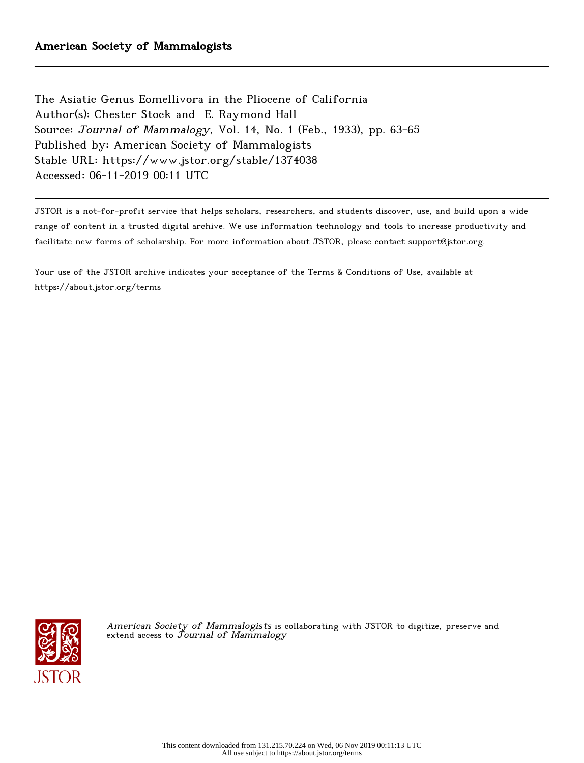The Asiatic Genus Eomellivora in the Pliocene of California Author(s): Chester Stock and E. Raymond Hall Source: Journal of Mammalogy, Vol. 14, No. 1 (Feb., 1933), pp. 63-65 Published by: American Society of Mammalogists Stable URL: https://www.jstor.org/stable/1374038 Accessed: 06-11-2019 00:11 UTC

JSTOR is a not-for-profit service that helps scholars, researchers, and students discover, use, and build upon a wide range of content in a trusted digital archive. We use information technology and tools to increase productivity and facilitate new forms of scholarship. For more information about JSTOR, please contact support@jstor.org.

Your use of the JSTOR archive indicates your acceptance of the Terms & Conditions of Use, available at https://about.jstor.org/terms



American Society of Mammalogists is collaborating with JSTOR to digitize, preserve and extend access to  ${\it Journal~of~Mammalogy}$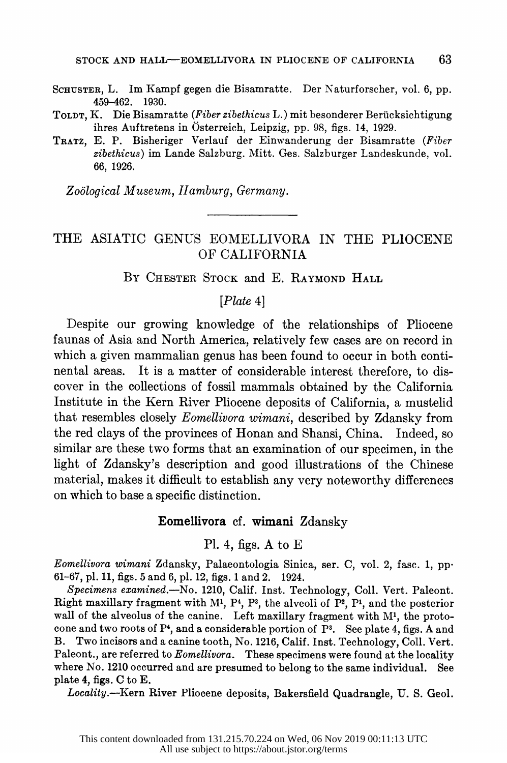- SCHUSTER, L. Im Kampf gegen die Bisamratte. Der Naturforscher, vol. 6, pp. SCHUSTER, L. Im Kampf gegen die Bisamratte. Der Naturforscher, vol. 6, pp. 459-462. 1930.
- TOLDT, K. Die Bisamratte (Fiber zibethicus L.) mit besonderer Beriicksichtigung ihres Auftretens in Osterreich, Leipzig, pp. 98, figs. 14, 1929.
- TRATZ, E. P. Bisheriger Verlauf der Einwanderung der Bisamratte (Fiber zibethicus) im Lande Salzburg. Mitt. Ges. Salzburger Landeskunde, vol. 66, 1926.

Zoological Museum, Hamburg, Germany.

# THE ASIATIC GENUS EOMELLIVORA IN THE PLIOCENE OF CALIFORNIA

BY CHESTER STOCK and E. RAYMOND HALL

## [Plate 4]

 Despite our growing knowledge of the relationships of Pliocene faunas of Asia and North America, relatively few cases are on record in which a given mammalian genus has been found to occur in both conti nental areas. It is a matter of considerable interest therefore, to dis cover in the collections of fossil mammals obtained by the California Institute in the Kern River Pliocene deposits of California, a mustelid that resembles closely Eomellivora wimani, described by Zdansky from the red clays of the provinces of Honan and Shansi, China. Indeed, so similar are these two forms that an examination of our specimen, in the light of Zdansky's description and good illustrations of the Chinese material, makes it difficult to establish any very noteworthy differences on which to base a specific distinction.

### Eomellivora cf. wimani Zdansky

#### Pl. 4, figs. A to  $E$

 Eomellivora wimani Zdansky, Palaeontologia Sinica, ser. C, vol. 2, fasc. 1, pp- 61-67, pl. 11, figs. 5 and 6, pl. 12, figs. 1 and 2. 1924.

Specimens examined.—No. 1210, Calif. Inst. Technology, Coll. Vert. Paleont. Right maxillary fragment with  $M<sup>1</sup>$ ,  $P<sup>4</sup>$ ,  $P<sup>3</sup>$ , the alveoli of  $P<sup>2</sup>$ ,  $P<sup>1</sup>$ , and the posterior wall of the alveolus of the canine. Left maxillary fragment with  $M<sup>1</sup>$ , the protocone and two roots of  $P<sup>4</sup>$ , and a considerable portion of  $P<sup>3</sup>$ . See plate 4, figs. A and B. Two incisors and a canine tooth, No. 1216, Calif. Inst. Technology, Coll. Vert. Paleont., are referred to *Eomellivora*. These specimens were found at the locality where No. 1210 occurred and are presumed to belong to the same individual. See plate 4, figs. C to E.

Locality.-Kern River Pliocene deposits, Bakersfield Quadrangle, U.S. Geol.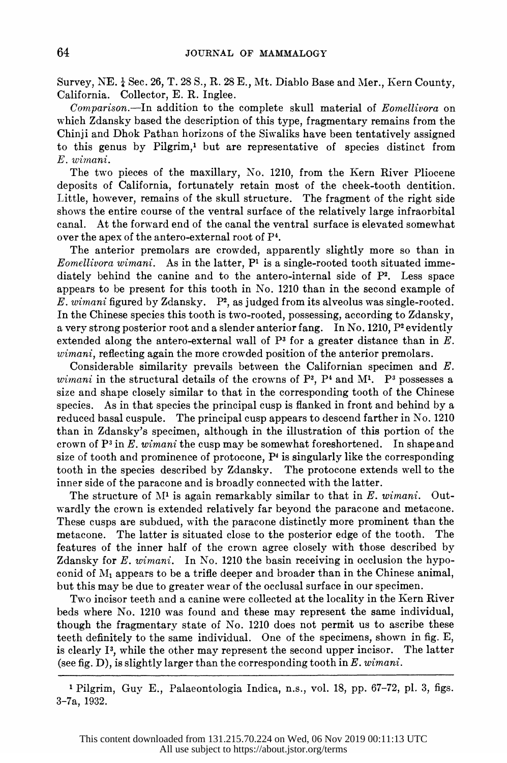Survey, NE.  $\frac{1}{4}$  Sec. 26, T. 28 S., R. 28 E., Mt. Diablo Base and Mer., Kern County, California. Collector, E. R. Inglee.

 Comparison.-In addition to the complete skull material of Eomellivora on which Zdansky based the description of this type, fragmentary remains from the Chinji and Dhok Pathan horizons of the Siwaliks have been tentatively assigned to this genus by Pilgrim,1 but are representative of species distinct from E. wimani.

 The two pieces of the maxillary, No. 1210, from the Kern River Pliocene deposits of California, fortunately retain most of the cheek-tooth dentition. Little, however, remains of the skull structure. The fragment of the right side shows the entire course of the ventral surface of the relatively large infraorbital canal. At the forward end of the canal the ventral surface is elevated somewhat over the apex of the antero-external root of P4.

 The anterior premolars are crowded, apparently slightly more so than in Eomellivora wimani. As in the latter,  $P<sup>1</sup>$  is a single-rooted tooth situated immediately behind the canine and to the antero-internal side of  $P^2$ . Less space appears to be present for this tooth in No. 1210 than in the second example of E. wimani figured by Zdansky.  $P^2$ , as judged from its alveolus was single-rooted. In the Chinese species this tooth is two-rooted, possessing, according to Zdansky, a very strong posterior root and a slender anterior fang. In No. 1210, P<sup>2</sup> evidently extended along the antero-external wall of  $P<sup>3</sup>$  for a greater distance than in E. wimani, reflecting again the more crowded position of the anterior premolars.

 Considerable similarity prevails between the Californian specimen and E. wimani in the structural details of the crowns of  $P<sup>3</sup>$ ,  $P<sup>4</sup>$  and M<sup>1</sup>. P<sup>3</sup> possesses a size and shape closely similar to that in the corresponding tooth of the Chinese species. As in that species the principal cusp is flanked in front and behind by a reduced basal cuspule. The principal cusp appears to descend farther in No. 1210 than in Zdansky's specimen, although in the illustration of this portion of the crown of  $P<sup>3</sup>$  in E. wimani the cusp may be somewhat foreshortened. In shape and size of tooth and prominence of protocone, P4 is singularly like the corresponding tooth in the species described by Zdansky. The protocone extends well to the inner side of the paracone and is broadly connected with the latter.

The structure of  $M<sup>1</sup>$  is again remarkably similar to that in  $E$ . wimani. Out wardly the crown is extended relatively far beyond the paracone and metacone. These cusps are subdued, with the paracone distinctly more prominent than the metacone. The latter is situated close to the posterior edge of the tooth. The features of the inner half of the crown agree closely with those described by Zdansky for E. wimani. In No. 1210 the basin receiving in occlusion the hypoconid of  $M_1$  appears to be a trifle deeper and broader than in the Chinese animal, but this may be due to greater wear of the occlusal surface in our specimen.

 Two incisor teeth and a canine were collected at the locality in the Kern River beds where No. 1210 was found and these may represent the same individual, though the fragmentary state of No. 1210 does not permit us to ascribe these teeth definitely to the same individual. One of the specimens, shown in fig. E, is clearly I3, while the other may represent the second upper incisor. The latter (see fig. D), is slightly larger than the corresponding tooth in  $E.$  wimani.

 <sup>1</sup> Pilgrim, Guy E., Palaeontologia Indica, n.s., vol. 18, pp. 67-72, pl. 3, figs. 3-7a, 1932.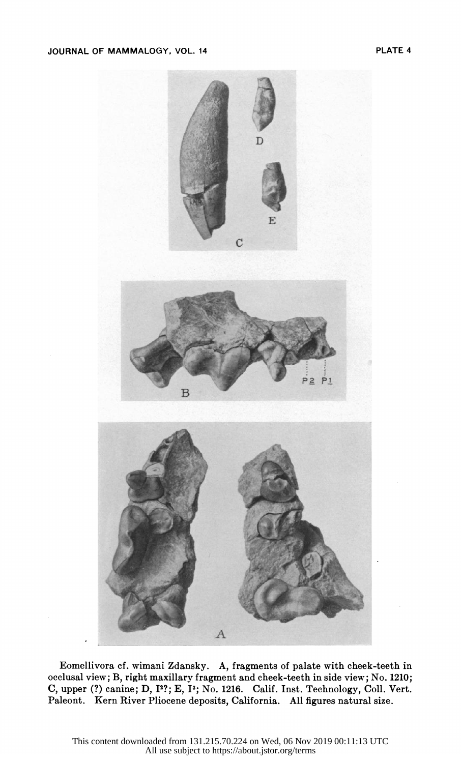

 Eomellivora cf. wimani Zdansky. A, fragments of palate with cheek-teeth in Eomellivora cf. wimani Zdansky. A, fragments of palate with cheek-teeth in occlusal view; B, right maxillary fragment and cheek-teeth in side view; No. 1210; occlusal view; B, right maxillary fragment and cheek-teeth in side view; No. 1210; C, upper (?) canine; D, 1<sup>2</sup>?; E, 1<sup>3</sup>; No. 1216. Calif. Inst. Technology, Coll. Vert. Paleont. Kern River Pliocene deposits, California. All figures natural size.